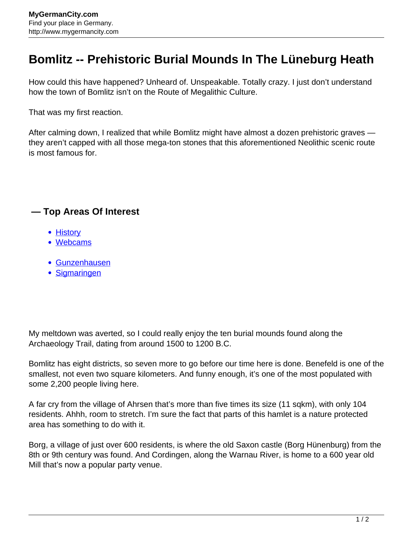## **Bomlitz -- Prehistoric Burial Mounds In The Lüneburg Heath**

How could this have happened? Unheard of. Unspeakable. Totally crazy. I just don't understand how the town of Bomlitz isn't on the Route of Megalithic Culture.

That was my first reaction.

After calming down, I realized that while Bomlitz might have almost a dozen prehistoric graves they aren't capped with all those mega-ton stones that this aforementioned Neolithic scenic route is most famous for.

## **— Top Areas Of Interest**

- **[History](http://www.mygermancity.com/leipzig-history)**
- [Webcams](http://www.mygermancity.com/neustadt-holstein-webcams)
- [Gunzenhausen](http://www.mygermancity.com/gunzenhausen)
- [Sigmaringen](http://www.mygermancity.com/sigmaringen)

My meltdown was averted, so I could really enjoy the ten burial mounds found along the Archaeology Trail, dating from around 1500 to 1200 B.C.

Bomlitz has eight districts, so seven more to go before our time here is done. Benefeld is one of the smallest, not even two square kilometers. And funny enough, it's one of the most populated with some 2,200 people living here.

A far cry from the village of Ahrsen that's more than five times its size (11 sqkm), with only 104 residents. Ahhh, room to stretch. I'm sure the fact that parts of this hamlet is a nature protected area has something to do with it.

Borg, a village of just over 600 residents, is where the old Saxon castle (Borg Hünenburg) from the 8th or 9th century was found. And Cordingen, along the Warnau River, is home to a 600 year old Mill that's now a popular party venue.